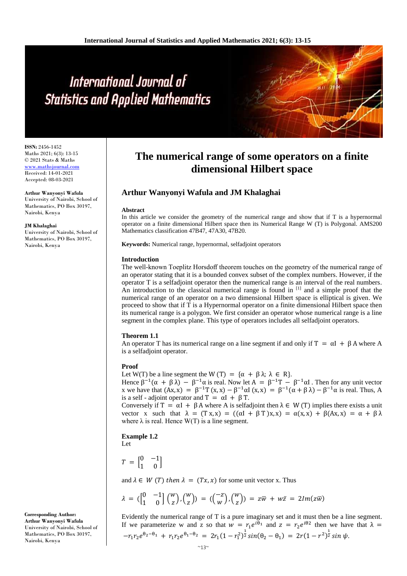# International Journal of **Statistics and Applied Mathematics**

**ISSN:** 2456-1452 Maths 2021; 6(3): 13-15 © 2021 Stats & Maths <www.mathsjournal.com> Received: 14-01-2021 Accepted: 08-03-2021

**Arthur Wanyonyi Wafula**  University of Nairobi, School of Mathematics, PO Box 30197, Nairobi, Kenya

#### **JM Khalaghai**

University of Nairobi, School of Mathematics, PO Box 30197, Nairobi, Kenya

# **The numerical range of some operators on a finite dimensional Hilbert space**

# **Arthur Wanyonyi Wafula and JM Khalaghai**

#### **Abstract**

In this article we consider the geometry of the numerical range and show that if T is a hypernormal operator on a finite dimensional Hilbert space then its Numerical Range W (T) is Polygonal. AMS200 Mathematics classification 47B47, 47A30, 47B20.

**Keywords:** Numerical range, hypernormal, selfadjoint operators

#### **Introduction**

The well-known Toeplitz Horsdoff theorem touches on the geometry of the numerical range of an operator stating that it is a bounded convex subset of the complex numbers. However, if the operator T is a selfadjoint operator then the numerical range is an interval of the real numbers. An introduction to the classical numerical range is found in [1] and a simple proof that the numerical range of an operator on a two dimensional Hilbert space is elliptical is given. We proceed to show that if T is a Hypernormal operator on a finite dimensional Hilbert space then its numerical range is a polygon. We first consider an operator whose numerical range is a line segment in the complex plane. This type of operators includes all selfadjoint operators.

#### **Theorem 1.1**

An operator T has its numerical range on a line segment if and only if  $T = \alpha I + \beta A$  where A is a selfadjoint operator.

#### **Proof**

Let W(T) be a line segment the W (T) =  $\{\alpha + \beta \lambda : \lambda \in \mathbb{R}\}.$ 

Hence  $\beta^{-1}(\alpha + \beta \lambda) - \beta^{-1}\alpha$  is real. Now let  $A = \beta^{-1}T - \beta^{-1}\alpha I$ . Then for any unit vector x we have that  $(Ax, x) = \beta^{-1}T(x, x) - \beta^{-1}\alpha I(x, x) = \beta^{-1}(\alpha + \beta \lambda) - \beta^{-1}\alpha$  is real. Thus, A is a self - adjoint operator and  $T = \alpha I + \beta T$ .

Conversely if  $T = \alpha I + \beta A$  where A is selfadjoint then  $\lambda \in W(T)$  implies there exists a unit vector x such that  $\lambda = (Tx, x) = ((\alpha I + \beta T)x, x) = \alpha(x, x) + \beta(Ax, x) = \alpha + \beta \lambda$ where  $\lambda$  is real. Hence W(T) is a line segment.

#### **Example 1.2**

Let

 $T = \begin{bmatrix} 0 & -1 \\ 1 & 0 \end{bmatrix}$  $\begin{bmatrix} 0 & -1 \\ 1 & 0 \end{bmatrix}$ 

and  $\lambda \in W(T)$  then  $\lambda = (Tx, x)$  for some unit vector x. Thus

$$
\lambda = \begin{pmatrix} 0 & -1 \\ 1 & 0 \end{pmatrix} \begin{pmatrix} w \\ z \end{pmatrix}, \begin{pmatrix} w \\ z \end{pmatrix} = \begin{pmatrix} -z \\ w \end{pmatrix}, \begin{pmatrix} w \\ z \end{pmatrix} = z\overline{w} + w\overline{z} = 2Im(z\overline{w})
$$

Evidently the numerical range of T is a pure imaginary set and it must then be a line segment. If we parameterize w and z so that  $w = r_1 e^{i\theta_1}$  and  $z = r_2 e^{i\theta_2}$  then we have that  $\lambda =$  $-r_1r_2e^{\theta_2-\theta_1}+r_1r_2e^{\theta_1-\theta_2}=2r_1(1-r_1^2)^{\frac{1}{2}}sin(\theta_2-\theta_1)=2r(1-r^2)^{\frac{1}{2}}sin \psi$ 

**Corresponding Author: Arthur Wanyonyi Wafula**  University of Nairobi, School of Mathematics, PO Box 30197, Nairobi, Kenya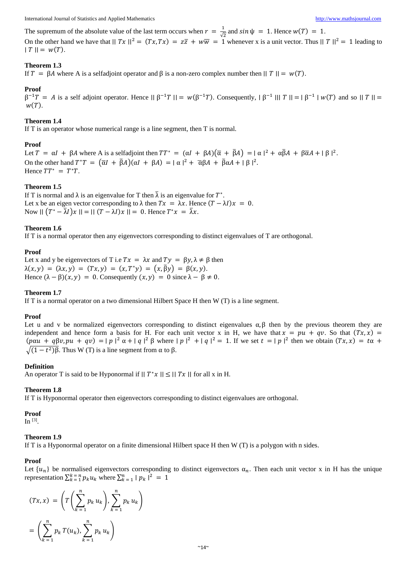The supremum of the absolute value of the last term occurs when  $r = \frac{1}{6}$  $\frac{1}{\sqrt{2}}$  and  $sin \psi = 1$ . Hence  $w(T) = 1$ .

On the other hand we have that  $||Tx||^2 = (Tx, Tx) = z\overline{z} + w\overline{w} = 1$  whenever x is a unit vector. Thus  $||T||^2 = 1$  leading to  $|T| = w(T)$ .

# **Theorem 1.3**

If  $T = \beta A$  where A is a selfadjoint operator and  $\beta$  is a non-zero complex number then  $||T|| = w(T)$ .

### **Proof**

 $\beta^{-1}T = A$  is a self adjoint operator. Hence  $||\beta^{-1}T|| = w(\beta^{-1}T)$ . Consequently,  $||\beta^{-1}|| ||T|| = ||\beta^{-1}|| w(T)$  and so  $||T|| =$  $W(T)$ .

### **Theorem 1.4**

If T is an operator whose numerical range is a line segment, then T is normal.

### **Proof**

Let  $T = \alpha I + \beta A$  where A is a selfadjoint then  $TT^* = (\alpha I + \beta A)(\overline{\alpha} + \overline{\beta}A) = |\alpha|^2 + \alpha \overline{\beta}A + \beta \overline{\alpha}A + |\beta|^2$ . On the other hand  $T^*T = (\overline{\alpha}I + \overline{\beta}A)(\alpha I + \beta A) = |\alpha|^2 + \overline{\alpha}\beta A + \overline{\beta}\alpha A + |\beta|^2$ . Hence  $TT^* = T^*T$ .

# **Theorem 1.5**

If T is normal and  $\lambda$  is an eigenvalue for T then  $\bar{\lambda}$  is an eigenvalue for  $T^*$ . Let x be an eigen vector corresponding to  $\lambda$  then  $Tx = \lambda x$ . Hence  $(T - \lambda I)x = 0$ . Now  $|| (T^* - \overline{\lambda}I)x || = || (T - \lambda I)x || = 0$ . Hence  $T^*x = \overline{\lambda}x$ .

### **Theorem 1.6**

If T is a normal operator then any eigenvectors corresponding to distinct eigenvalues of T are orthogonal.

### **Proof**

Let x and y be eigenvectors of T i.e  $Tx = \lambda x$  and  $Ty = \beta y$ ,  $\lambda \neq \beta$  then  $\lambda(x, y) = (\lambda x, y) = (Tx, y) = (x, T^*y) = (x, \overline{\beta}y) = \beta(x, y).$ Hence  $(\lambda - \beta)(x, y) = 0$ . Consequently  $(x, y) = 0$  since  $\lambda - \beta \neq 0$ .

#### **Theorem 1.7**

If T is a normal operator on a two dimensional Hilbert Space H then  $W(T)$  is a line segment.

#### **Proof**

Let u and v be normalized eigenvectors corresponding to distinct eigenvalues  $\alpha, \beta$  then by the previous theorem they are independent and hence form a basis for H. For each unit vector x in H, we have that  $x = pu + qv$ . So that  $(Tx, x)$  =  $(\text{p} \alpha u + q \beta v, \text{p} u + q v) = |\text{p}|^2 \alpha + |q|^2 \beta$  where  $|\text{p}|^2 + |q|^2 = 1$ . If we set  $t = |\text{p}|^2$  then we obtain  $(Tx, x) = t\alpha +$  $\sqrt{(1-t^2)}\beta$ . Thus W (T) is a line segment from α to β.

#### **Definition**

An operator T is said to be Hyponormal if  $||T^*x|| \le ||Tx||$  for all x in H.

#### **Theorem 1.8**

If T is Hyponormal operator then eigenvectors corresponding to distinct eigenvalues are orthogonal.

#### **Proof**

In  $^{[3]}$ .

#### **Theorem 1.9**

If T is a Hyponormal operator on a finite dimensional Hilbert space H then W (T) is a polygon with n sides.

#### **Proof**

Let  $\{u_n\}$  be normalised eigenvectors corresponding to distinct eigenvectors  $\alpha_n$ . Then each unit vector x in H has the unique representation  $\sum_{k=1}^{k} p_k u_k$  where  $\sum_{k=1}^{n} |p_k|^2 = 1$ 

$$
(Tx, x) = \left(T\left(\sum_{k=1}^{n} p_k u_k\right), \sum_{k=1}^{n} p_k u_k\right)
$$

$$
= \left(\sum_{k=1}^{n} p_k T(u_k), \sum_{k=1}^{n} p_k u_k\right)
$$